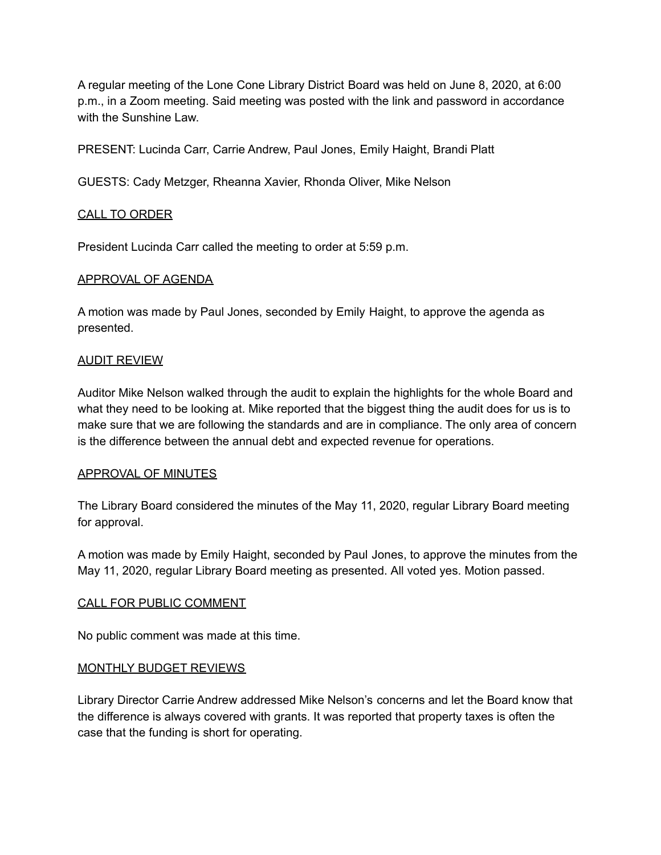A regular meeting of the Lone Cone Library District Board was held on June 8, 2020, at 6:00 p.m., in a Zoom meeting. Said meeting was posted with the link and password in accordance with the Sunshine Law.

PRESENT: Lucinda Carr, Carrie Andrew, Paul Jones, Emily Haight, Brandi Platt

GUESTS: Cady Metzger, Rheanna Xavier, Rhonda Oliver, Mike Nelson

### CALL TO ORDER

President Lucinda Carr called the meeting to order at 5:59 p.m.

### APPROVAL OF AGENDA

A motion was made by Paul Jones, seconded by Emily Haight, to approve the agenda as presented.

## AUDIT REVIEW

Auditor Mike Nelson walked through the audit to explain the highlights for the whole Board and what they need to be looking at. Mike reported that the biggest thing the audit does for us is to make sure that we are following the standards and are in compliance. The only area of concern is the difference between the annual debt and expected revenue for operations.

### APPROVAL OF MINUTES

The Library Board considered the minutes of the May 11, 2020, regular Library Board meeting for approval.

A motion was made by Emily Haight, seconded by Paul Jones, to approve the minutes from the May 11, 2020, regular Library Board meeting as presented. All voted yes. Motion passed.

### CALL FOR PUBLIC COMMENT

No public comment was made at this time.

### MONTHLY BUDGET REVIEWS

Library Director Carrie Andrew addressed Mike Nelson's concerns and let the Board know that the difference is always covered with grants. It was reported that property taxes is often the case that the funding is short for operating.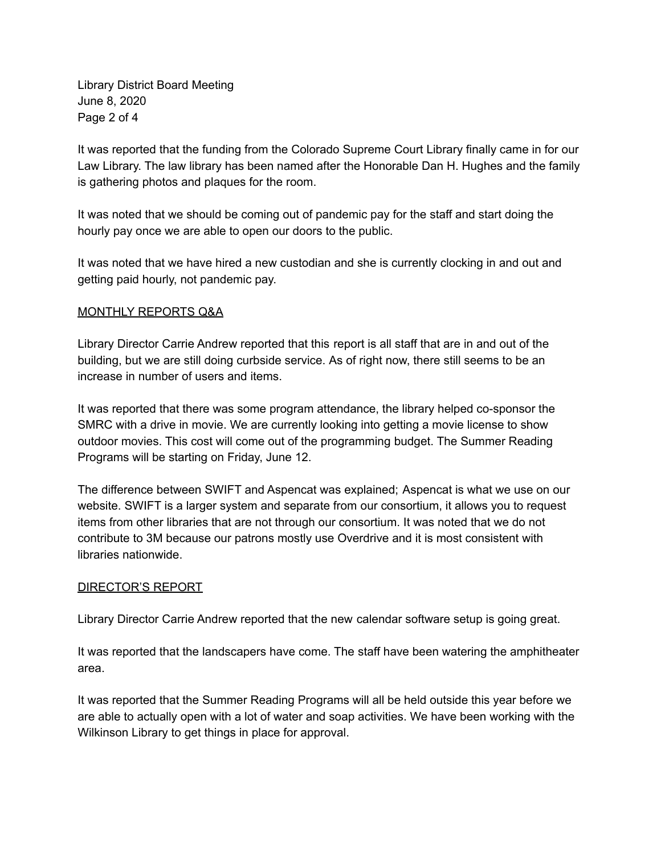Library District Board Meeting June 8, 2020 Page 2 of 4

It was reported that the funding from the Colorado Supreme Court Library finally came in for our Law Library. The law library has been named after the Honorable Dan H. Hughes and the family is gathering photos and plaques for the room.

It was noted that we should be coming out of pandemic pay for the staff and start doing the hourly pay once we are able to open our doors to the public.

It was noted that we have hired a new custodian and she is currently clocking in and out and getting paid hourly, not pandemic pay.

### MONTHLY REPORTS Q&A

Library Director Carrie Andrew reported that this report is all staff that are in and out of the building, but we are still doing curbside service. As of right now, there still seems to be an increase in number of users and items.

It was reported that there was some program attendance, the library helped co-sponsor the SMRC with a drive in movie. We are currently looking into getting a movie license to show outdoor movies. This cost will come out of the programming budget. The Summer Reading Programs will be starting on Friday, June 12.

The difference between SWIFT and Aspencat was explained; Aspencat is what we use on our website. SWIFT is a larger system and separate from our consortium, it allows you to request items from other libraries that are not through our consortium. It was noted that we do not contribute to 3M because our patrons mostly use Overdrive and it is most consistent with libraries nationwide.

### DIRECTOR'S REPORT

Library Director Carrie Andrew reported that the new calendar software setup is going great.

It was reported that the landscapers have come. The staff have been watering the amphitheater area.

It was reported that the Summer Reading Programs will all be held outside this year before we are able to actually open with a lot of water and soap activities. We have been working with the Wilkinson Library to get things in place for approval.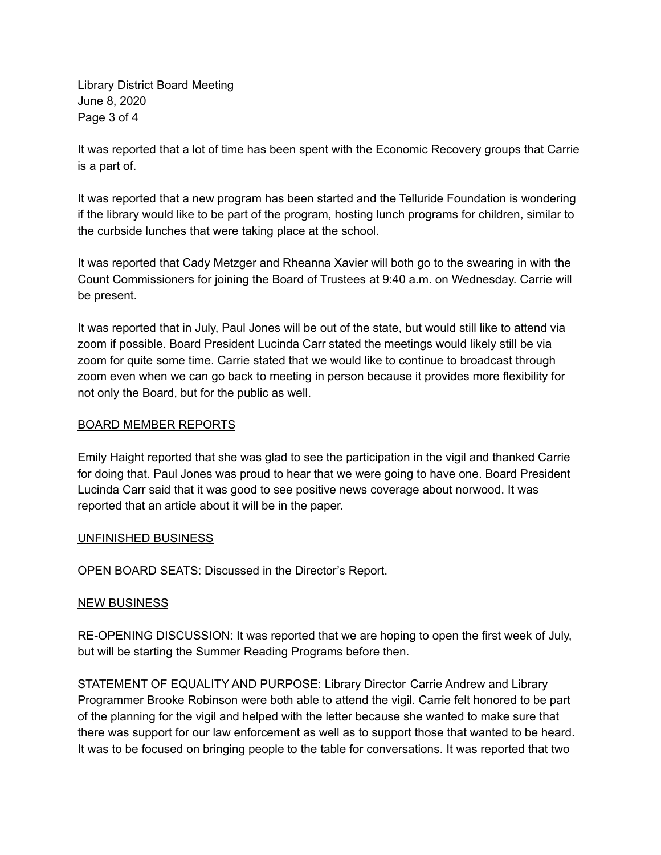Library District Board Meeting June 8, 2020 Page 3 of 4

It was reported that a lot of time has been spent with the Economic Recovery groups that Carrie is a part of.

It was reported that a new program has been started and the Telluride Foundation is wondering if the library would like to be part of the program, hosting lunch programs for children, similar to the curbside lunches that were taking place at the school.

It was reported that Cady Metzger and Rheanna Xavier will both go to the swearing in with the Count Commissioners for joining the Board of Trustees at 9:40 a.m. on Wednesday. Carrie will be present.

It was reported that in July, Paul Jones will be out of the state, but would still like to attend via zoom if possible. Board President Lucinda Carr stated the meetings would likely still be via zoom for quite some time. Carrie stated that we would like to continue to broadcast through zoom even when we can go back to meeting in person because it provides more flexibility for not only the Board, but for the public as well.

### BOARD MEMBER REPORTS

Emily Haight reported that she was glad to see the participation in the vigil and thanked Carrie for doing that. Paul Jones was proud to hear that we were going to have one. Board President Lucinda Carr said that it was good to see positive news coverage about norwood. It was reported that an article about it will be in the paper.

### UNFINISHED BUSINESS

OPEN BOARD SEATS: Discussed in the Director's Report.

# NEW BUSINESS

RE-OPENING DISCUSSION: It was reported that we are hoping to open the first week of July, but will be starting the Summer Reading Programs before then.

STATEMENT OF EQUALITY AND PURPOSE: Library Director Carrie Andrew and Library Programmer Brooke Robinson were both able to attend the vigil. Carrie felt honored to be part of the planning for the vigil and helped with the letter because she wanted to make sure that there was support for our law enforcement as well as to support those that wanted to be heard. It was to be focused on bringing people to the table for conversations. It was reported that two